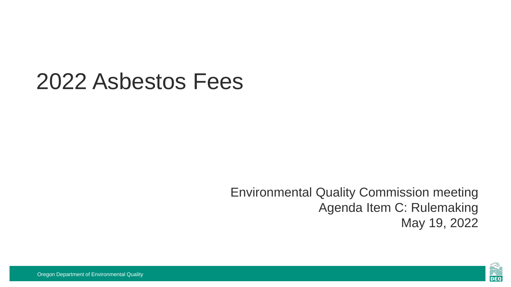### 2022 Asbestos Fees

Environmental Quality Commission meeting Agenda Item C: Rulemaking May 19, 2022

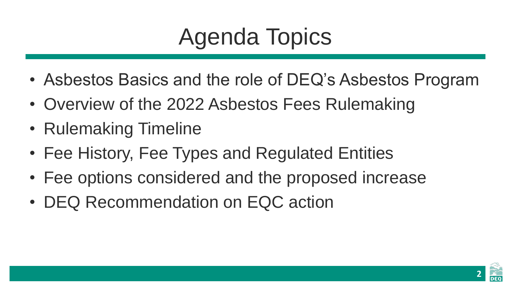# Agenda Topics

- Asbestos Basics and the role of DEQ's Asbestos Program
- Overview of the 2022 Asbestos Fees Rulemaking
- Rulemaking Timeline
- Fee History, Fee Types and Regulated Entities
- Fee options considered and the proposed increase
- DEQ Recommendation on EQC action

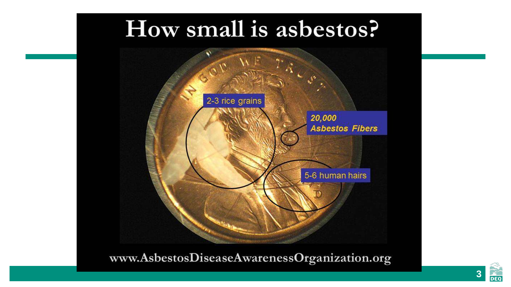### How small is asbestos?



www.AsbestosDiseaseAwarenessOrganization.org

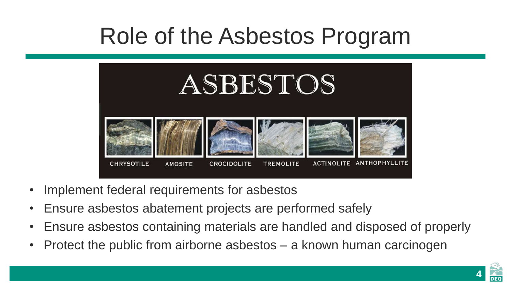## Role of the Asbestos Program



- Implement federal requirements for asbestos
- Ensure asbestos abatement projects are performed safely
- Ensure asbestos containing materials are handled and disposed of properly
- Protect the public from airborne asbestos a known human carcinogen

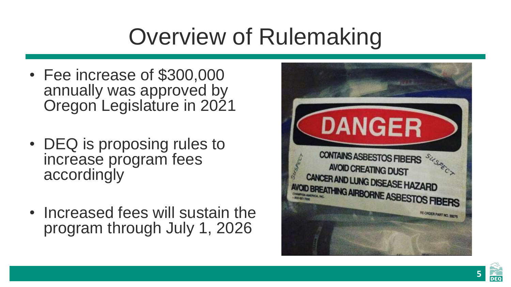# Overview of Rulemaking

- Fee increase of \$300,000 annually was approved by Oregon Legislature in 2021
- DEQ is proposing rules to increase program fees accordingly
- Increased fees will sustain the program through July 1, 2026



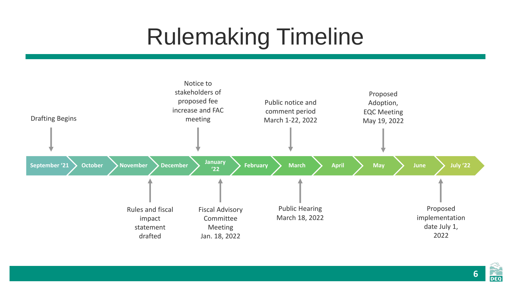# Rulemaking Timeline



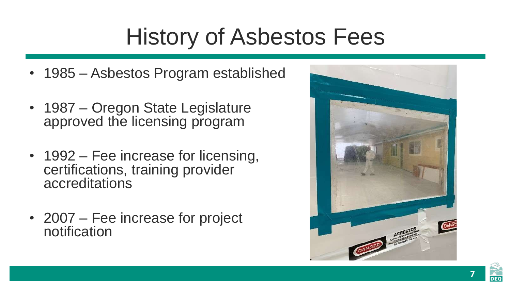# History of Asbestos Fees

- 1985 Asbestos Program established
- 1987 Oregon State Legislature approved the licensing program
- 1992 Fee increase for licensing, certifications, training provider accreditations
- 2007 Fee increase for project notification



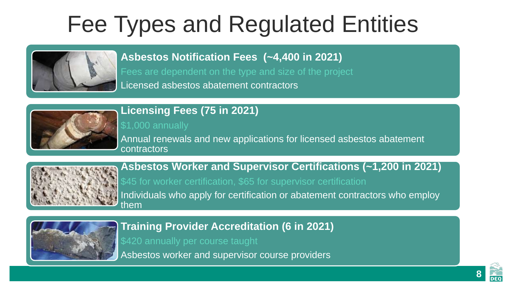## Fee Types and Regulated Entities



**Asbestos Notification Fees (~4,400 in 2021)**

Fees are dependent on the type and size of the project

Licensed asbestos abatement contractors



#### **Licensing Fees (75 in 2021)**

\$1,000 annually

Annual renewals and new applications for licensed asbestos abatement contractors



**Asbestos Worker and Supervisor Certifications (~1,200 in 2021)** \$45 for worker certification, \$65 for supervisor certification

Individuals who apply for certification or abatement contractors who employ them



**Training Provider Accreditation (6 in 2021)**

\$420 annually per course taught

Asbestos worker and supervisor course providers

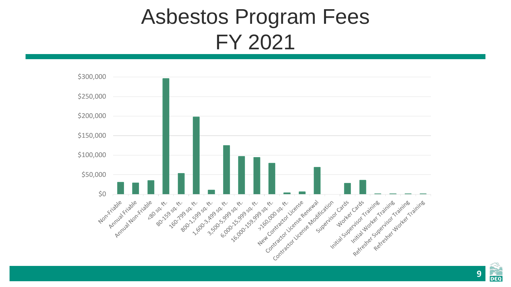### Asbestos Program Fees FY 2021



 $\frac{1}{\text{DEQ}}$ **9**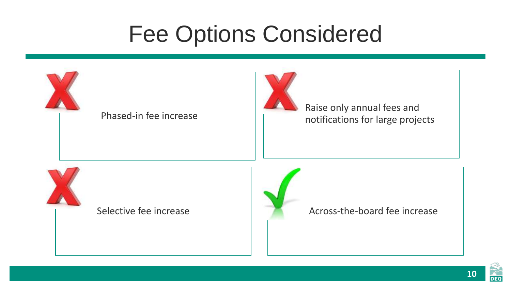## Fee Options Considered



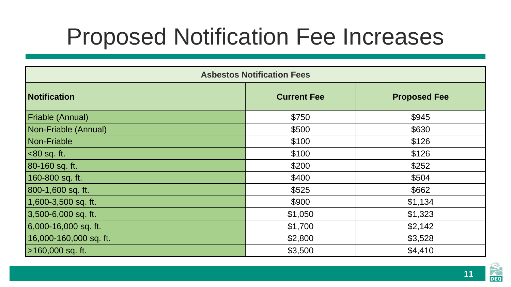## Proposed Notification Fee Increases

| <b>Asbestos Notification Fees</b> |                    |                     |
|-----------------------------------|--------------------|---------------------|
| <b>Notification</b>               | <b>Current Fee</b> | <b>Proposed Fee</b> |
| Friable (Annual)                  | \$750              | \$945               |
| Non-Friable (Annual)              | \$500              | \$630               |
| <b>Non-Friable</b>                | \$100              | \$126               |
| $<80$ sq. ft.                     | \$100              | \$126               |
| 80-160 sq. ft.                    | \$200              | \$252               |
| 160-800 sq. ft.                   | \$400              | \$504               |
| 800-1,600 sq. ft.                 | \$525              | \$662               |
| 1,600-3,500 sq. ft.               | \$900              | \$1,134             |
| 3,500-6,000 sq. ft.               | \$1,050            | \$1,323             |
| 6,000-16,000 sq. ft.              | \$1,700            | \$2,142             |
| 16,000-160,000 sq. ft.            | \$2,800            | \$3,528             |
| >160,000 sq. ft.                  | \$3,500            | \$4,410             |

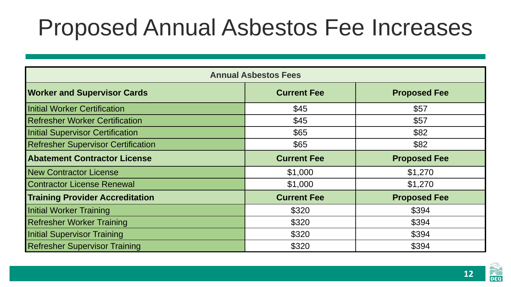### Proposed Annual Asbestos Fee Increases

| <b>Annual Asbestos Fees</b>               |                    |                     |
|-------------------------------------------|--------------------|---------------------|
| <b>Worker and Supervisor Cards</b>        | <b>Current Fee</b> | <b>Proposed Fee</b> |
| <b>Initial Worker Certification</b>       | \$45               | \$57                |
| <b>Refresher Worker Certification</b>     | \$45               | \$57                |
| <b>Initial Supervisor Certification</b>   | \$65               | \$82                |
| <b>Refresher Supervisor Certification</b> | \$65               | \$82                |
| <b>Abatement Contractor License</b>       | <b>Current Fee</b> | <b>Proposed Fee</b> |
| <b>New Contractor License</b>             | \$1,000            | \$1,270             |
| <b>Contractor License Renewal</b>         | \$1,000            | \$1,270             |
| <b>Training Provider Accreditation</b>    | <b>Current Fee</b> | <b>Proposed Fee</b> |
| <b>Initial Worker Training</b>            | \$320              | \$394               |
| <b>Refresher Worker Training</b>          | \$320              | \$394               |
| <b>Initial Supervisor Training</b>        | \$320              | \$394               |
| <b>Refresher Supervisor Training</b>      | \$320              | \$394               |

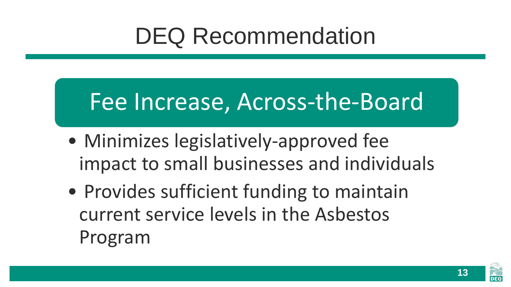## DEQ Recommendation

### Fee Increase, Across-the-Board

- Minimizes legislatively-approved fee impact to small businesses and individuals
- Provides sufficient funding to maintain current service levels in the Asbestos Program



**13**